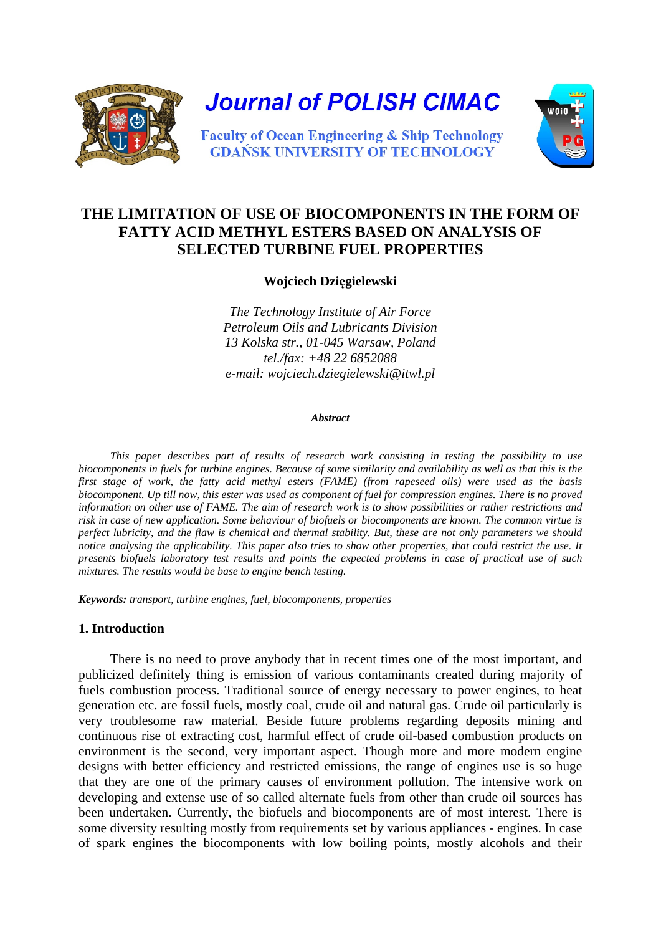

**Journal of POLISH CIMAC** 



**Faculty of Ocean Engineering & Ship Technology GDAŃSK UNIVERSITY OF TECHNOLOGY** 

# **THE LIMITATION OF USE OF BIOCOMPONENTS IN THE FORM OF FATTY ACID METHYL ESTERS BASED ON ANALYSIS OF SELECTED TURBINE FUEL PROPERTIES**

**Wojciech Dzięgielewski** 

*The Technology Institute of Air Force Petroleum Oils and Lubricants Division 13 Kolska str., 01-045 Warsaw, Poland tel./fax: +48 22 6852088 e-mail: wojciech.dziegielewski@itwl.pl* 

#### *Abstract*

*This paper describes part of results of research work consisting in testing the possibility to use biocomponents in fuels for turbine engines. Because of some similarity and availability as well as that this is the first stage of work, the fatty acid methyl esters (FAME) (from rapeseed oils) were used as the basis biocomponent. Up till now, this ester was used as component of fuel for compression engines. There is no proved information on other use of FAME. The aim of research work is to show possibilities or rather restrictions and risk in case of new application. Some behaviour of biofuels or biocomponents are known. The common virtue is perfect lubricity, and the flaw is chemical and thermal stability. But, these are not only parameters we should notice analysing the applicability. This paper also tries to show other properties, that could restrict the use. It presents biofuels laboratory test results and points the expected problems in case of practical use of such mixtures. The results would be base to engine bench testing.* 

*Keywords: transport, turbine engines, fuel, biocomponents, properties*

### **1. Introduction**

There is no need to prove anybody that in recent times one of the most important, and publicized definitely thing is emission of various contaminants created during majority of fuels combustion process. Traditional source of energy necessary to power engines, to heat generation etc. are fossil fuels, mostly coal, crude oil and natural gas. Crude oil particularly is very troublesome raw material. Beside future problems regarding deposits mining and continuous rise of extracting cost, harmful effect of crude oil-based combustion products on environment is the second, very important aspect. Though more and more modern engine designs with better efficiency and restricted emissions, the range of engines use is so huge that they are one of the primary causes of environment pollution. The intensive work on developing and extense use of so called alternate fuels from other than crude oil sources has been undertaken. Currently, the biofuels and biocomponents are of most interest. There is some diversity resulting mostly from requirements set by various appliances - engines. In case of spark engines the biocomponents with low boiling points, mostly alcohols and their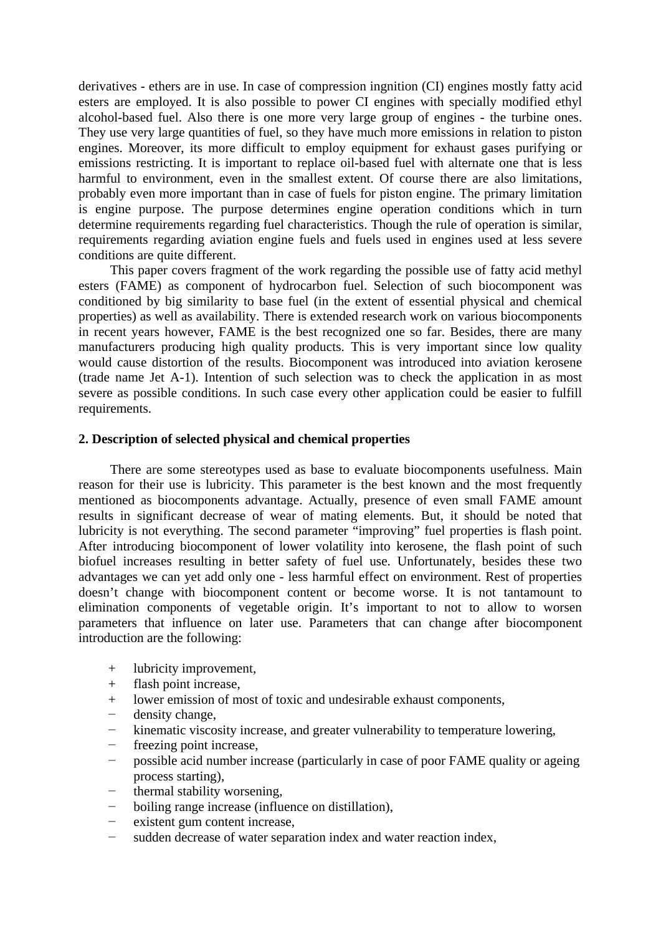derivatives - ethers are in use. In case of compression ingnition (CI) engines mostly fatty acid esters are employed. It is also possible to power CI engines with specially modified ethyl alcohol-based fuel. Also there is one more very large group of engines - the turbine ones. They use very large quantities of fuel, so they have much more emissions in relation to piston engines. Moreover, its more difficult to employ equipment for exhaust gases purifying or emissions restricting. It is important to replace oil-based fuel with alternate one that is less harmful to environment, even in the smallest extent. Of course there are also limitations, probably even more important than in case of fuels for piston engine. The primary limitation is engine purpose. The purpose determines engine operation conditions which in turn determine requirements regarding fuel characteristics. Though the rule of operation is similar, requirements regarding aviation engine fuels and fuels used in engines used at less severe conditions are quite different.

This paper covers fragment of the work regarding the possible use of fatty acid methyl esters (FAME) as component of hydrocarbon fuel. Selection of such biocomponent was conditioned by big similarity to base fuel (in the extent of essential physical and chemical properties) as well as availability. There is extended research work on various biocomponents in recent years however, FAME is the best recognized one so far. Besides, there are many manufacturers producing high quality products. This is very important since low quality would cause distortion of the results. Biocomponent was introduced into aviation kerosene (trade name Jet A-1). Intention of such selection was to check the application in as most severe as possible conditions. In such case every other application could be easier to fulfill requirements.

## **2. Description of selected physical and chemical properties**

There are some stereotypes used as base to evaluate biocomponents usefulness. Main reason for their use is lubricity. This parameter is the best known and the most frequently mentioned as biocomponents advantage. Actually, presence of even small FAME amount results in significant decrease of wear of mating elements. But, it should be noted that lubricity is not everything. The second parameter "improving" fuel properties is flash point. After introducing biocomponent of lower volatility into kerosene, the flash point of such biofuel increases resulting in better safety of fuel use. Unfortunately, besides these two advantages we can yet add only one - less harmful effect on environment. Rest of properties doesn't change with biocomponent content or become worse. It is not tantamount to elimination components of vegetable origin. It's important to not to allow to worsen parameters that influence on later use. Parameters that can change after biocomponent introduction are the following:

- + lubricity improvement,
- + flash point increase,
- + lower emission of most of toxic and undesirable exhaust components,
- density change,
- kinematic viscosity increase, and greater vulnerability to temperature lowering,
- freezing point increase,
- − possible acid number increase (particularly in case of poor FAME quality or ageing process starting),
- thermal stability worsening,
- boiling range increase (influence on distillation),
- existent gum content increase.
- sudden decrease of water separation index and water reaction index,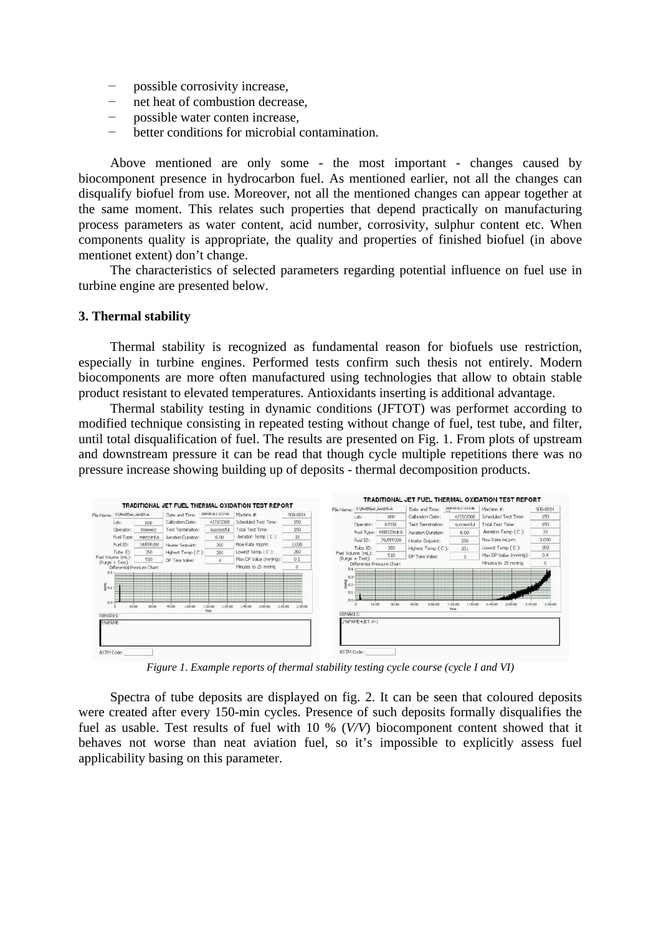- possible corrosivity increase,
- − net heat of combustion decrease,
- − possible water conten increase,
- better conditions for microbial contamination.

Above mentioned are only some - the most important - changes caused by biocomponent presence in hydrocarbon fuel. As mentioned earlier, not all the changes can disqualify biofuel from use. Moreover, not all the mentioned changes can appear together at the same moment. This relates such properties that depend practically on manufacturing process parameters as water content, acid number, corrosivity, sulphur content etc. When components quality is appropriate, the quality and properties of finished biofuel (in above mentionet extent) don't change.

The characteristics of selected parameters regarding potential influence on fuel use in turbine engine are presented below.

#### **3. Thermal stability**

Thermal stability is recognized as fundamental reason for biofuels use restriction, especially in turbine engines. Performed tests confirm such thesis not entirely. Modern biocomponents are more often manufactured using technologies that allow to obtain stable product resistant to elevated temperatures. Antioxidants inserting is additional advantage.

Thermal stability testing in dynamic conditions (JFTOT) was performet according to modified technique consisting in repeated testing without change of fuel, test tube, and filter, until total disqualification of fuel. The results are presented on Fig. 1. From plots of upstream and downstream pressure it can be read that though cycle multiple repetitions there was no pressure increase showing building up of deposits - thermal decomposition products.



Spectra of tube deposits are displayed on fig. 2. It can be seen that coloured deposits were created after every 150-min cycles. Presence of such deposits formally disqualifies the fuel as usable. Test results of fuel with 10 % (*V/V*) biocomponent content showed that it behaves not worse than neat aviation fuel, so it's impossible to explicitly assess fuel applicability basing on this parameter.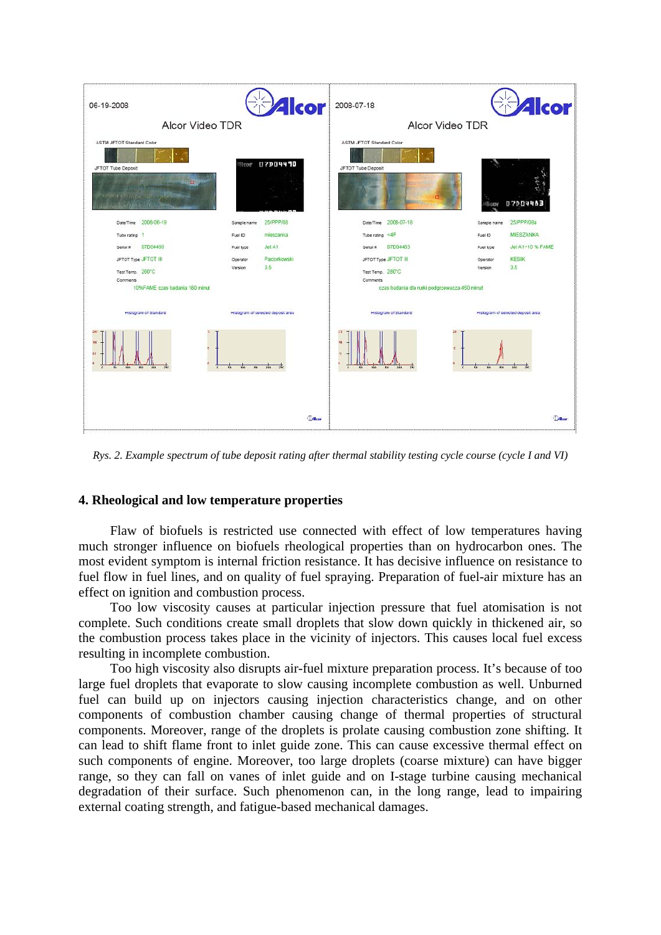

*Rys. 2. Example spectrum of tube deposit rating after thermal stability testing cycle course (cycle I and VI)* 

## **4. Rheological and low temperature properties**

Flaw of biofuels is restricted use connected with effect of low temperatures having much stronger influence on biofuels rheological properties than on hydrocarbon ones. The most evident symptom is internal friction resistance. It has decisive influence on resistance to fuel flow in fuel lines, and on quality of fuel spraying. Preparation of fuel-air mixture has an effect on ignition and combustion process.

Too low viscosity causes at particular injection pressure that fuel atomisation is not complete. Such conditions create small droplets that slow down quickly in thickened air, so the combustion process takes place in the vicinity of injectors. This causes local fuel excess resulting in incomplete combustion.

Too high viscosity also disrupts air-fuel mixture preparation process. It's because of too large fuel droplets that evaporate to slow causing incomplete combustion as well. Unburned fuel can build up on injectors causing injection characteristics change, and on other components of combustion chamber causing change of thermal properties of structural components. Moreover, range of the droplets is prolate causing combustion zone shifting. It can lead to shift flame front to inlet guide zone. This can cause excessive thermal effect on such components of engine. Moreover, too large droplets (coarse mixture) can have bigger range, so they can fall on vanes of inlet guide and on I-stage turbine causing mechanical degradation of their surface. Such phenomenon can, in the long range, lead to impairing external coating strength, and fatigue-based mechanical damages.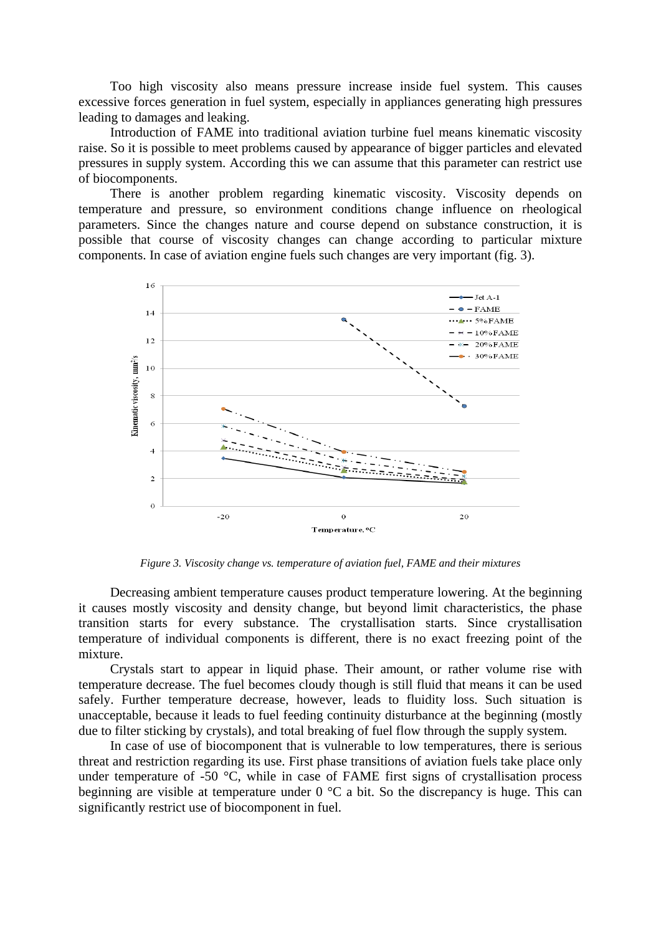Too high viscosity also means pressure increase inside fuel system. This causes excessive forces generation in fuel system, especially in appliances generating high pressures leading to damages and leaking.

Introduction of FAME into traditional aviation turbine fuel means kinematic viscosity raise. So it is possible to meet problems caused by appearance of bigger particles and elevated pressures in supply system. According this we can assume that this parameter can restrict use of biocomponents.

There is another problem regarding kinematic viscosity. Viscosity depends on temperature and pressure, so environment conditions change influence on rheological parameters. Since the changes nature and course depend on substance construction, it is possible that course of viscosity changes can change according to particular mixture components. In case of aviation engine fuels such changes are very important (fig. 3).



*Figure 3. Viscosity change vs. temperature of aviation fuel, FAME and their mixtures* 

Decreasing ambient temperature causes product temperature lowering. At the beginning it causes mostly viscosity and density change, but beyond limit characteristics, the phase transition starts for every substance. The crystallisation starts. Since crystallisation temperature of individual components is different, there is no exact freezing point of the mixture.

Crystals start to appear in liquid phase. Their amount, or rather volume rise with temperature decrease. The fuel becomes cloudy though is still fluid that means it can be used safely. Further temperature decrease, however, leads to fluidity loss. Such situation is unacceptable, because it leads to fuel feeding continuity disturbance at the beginning (mostly due to filter sticking by crystals), and total breaking of fuel flow through the supply system.

In case of use of biocomponent that is vulnerable to low temperatures, there is serious threat and restriction regarding its use. First phase transitions of aviation fuels take place only under temperature of -50 °C, while in case of FAME first signs of crystallisation process beginning are visible at temperature under 0 °C a bit. So the discrepancy is huge. This can significantly restrict use of biocomponent in fuel.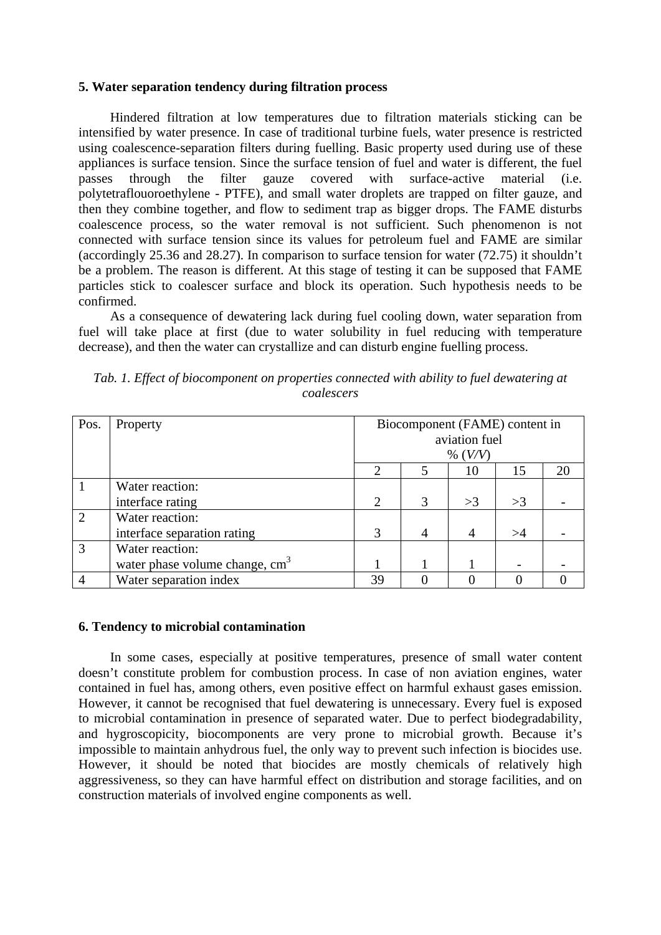### **5. Water separation tendency during filtration process**

Hindered filtration at low temperatures due to filtration materials sticking can be intensified by water presence. In case of traditional turbine fuels, water presence is restricted using coalescence-separation filters during fuelling. Basic property used during use of these appliances is surface tension. Since the surface tension of fuel and water is different, the fuel passes through the filter gauze covered with surface-active material (i.e. polytetraflouoroethylene - PTFE), and small water droplets are trapped on filter gauze, and then they combine together, and flow to sediment trap as bigger drops. The FAME disturbs coalescence process, so the water removal is not sufficient. Such phenomenon is not connected with surface tension since its values for petroleum fuel and FAME are similar (accordingly 25.36 and 28.27). In comparison to surface tension for water (72.75) it shouldn't be a problem. The reason is different. At this stage of testing it can be supposed that FAME particles stick to coalescer surface and block its operation. Such hypothesis needs to be confirmed.

As a consequence of dewatering lack during fuel cooling down, water separation from fuel will take place at first (due to water solubility in fuel reducing with temperature decrease), and then the water can crystallize and can disturb engine fuelling process.

| Pos.           | Property                                   | Biocomponent (FAME) content in |   |                |    |    |
|----------------|--------------------------------------------|--------------------------------|---|----------------|----|----|
|                |                                            | aviation fuel                  |   |                |    |    |
|                |                                            | % $(V/V)$                      |   |                |    |    |
|                |                                            | $\overline{c}$                 |   | 10             | 15 | 20 |
|                | Water reaction:                            |                                |   |                |    |    |
|                | interface rating                           | $\mathcal{D}_{\mathcal{L}}$    | 3 | >3             | >3 |    |
| $\overline{2}$ | Water reaction:                            |                                |   |                |    |    |
|                | interface separation rating                | 3                              | 4 | $\overline{A}$ | >4 |    |
| $\overline{3}$ | Water reaction:                            |                                |   |                |    |    |
|                | water phase volume change, cm <sup>3</sup> |                                |   |                |    |    |
| $\overline{4}$ | Water separation index                     | 39                             |   |                |    |    |

*Tab. 1. Effect of biocomponent on properties connected with ability to fuel dewatering at coalescers* 

## **6. Tendency to microbial contamination**

In some cases, especially at positive temperatures, presence of small water content doesn't constitute problem for combustion process. In case of non aviation engines, water contained in fuel has, among others, even positive effect on harmful exhaust gases emission. However, it cannot be recognised that fuel dewatering is unnecessary. Every fuel is exposed to microbial contamination in presence of separated water. Due to perfect biodegradability, and hygroscopicity, biocomponents are very prone to microbial growth. Because it's impossible to maintain anhydrous fuel, the only way to prevent such infection is biocides use. However, it should be noted that biocides are mostly chemicals of relatively high aggressiveness, so they can have harmful effect on distribution and storage facilities, and on construction materials of involved engine components as well.